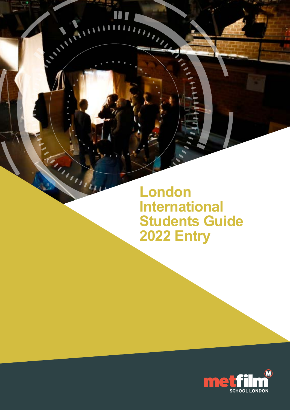**London International Students Guide 2022 Entry**

m

 $\sqrt{2}$ 

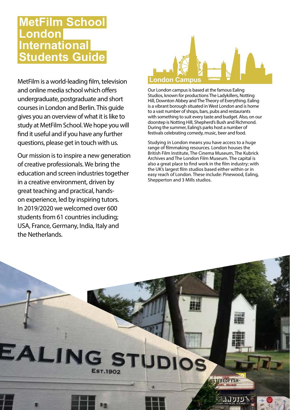# **MetFilm School London International Students Guide**

MetFilm is a world-leading film, television and online media school which offers undergraduate, postgraduate and short courses in London and Berlin. This guide gives you an overview of what it is like to study at MetFilm School. We hope you will find it useful and if you have any further questions, please get in touch with us.

Our mission is to inspire a new generation of creative professionals. We bring the education and screen industries together in a creative environment, driven by great teaching and practical, handson experience, led by inspiring tutors. In 2019/2020 we welcomed over 600 students from 61 countries including; USA, France, Germany, India, Italy and the Netherlands.



Our London campus is based at the famous Ealing Studios, known for productions The Ladykillers, Notting Hill, Downton Abbey and The Theory of Everything. Ealing is a vibrant borough situated in West London and is home to a vast number of shops, bars, pubs and restaurants with something to suit every taste and budget. Also, on our doorstep is Notting Hill, Shepherd's Bush and Richmond. During the summer, Ealing's parks host a number of festivals celebrating comedy, music, beer and food.

Studying in London means you have access to a huge range of filmmaking resources. London houses the British Film Institute, The Cinema Museum, The Kubrick Archives and The London Film Museum. The capital is also a great place to find work in the film industry; with the UK's largest film studios based either within or in easy reach of London. These include: Pinewood, Ealing, Shepperton and 3 Mills studios.

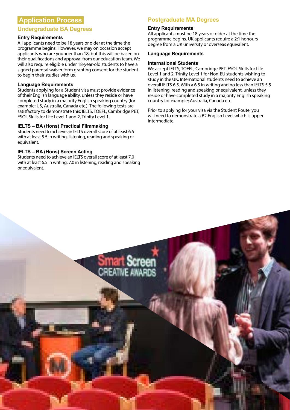# **Application Process**

# **Undergraduate BA Degrees**

## **Entry Requirements**

All applicants need to be 18 years or older at the time the programme begins. However, we may on occasion accept applicants who are younger than 18, but this will be based on their qualifications and approval from our education team. We will also require eligible under 18-year-old students to have a signed parental waiver form granting consent for the student to begin their studies with us.

## **Language Requirements**

Students applying for a Student visa must provide evidence of their English language ability, unless they reside or have completed study in a majority English speaking country (for example: US, Australia, Canada etc.). The following tests are satisfactory to demonstrate this: IELTS, TOEFL, Cambridge PET, ESOL Skills for Life Level 1 and 2, Trinity Level 1.

## **IELTS – BA (Hons) Practical Filmmaking**

Students need to achieve an IELTS overall score of at least 6.5 with at least 5.5 in writing, listening, reading and speaking or equivalent.

## **IELTS – BA (Hons) Screen Acting**

Students need to achieve an IELTS overall score of at least 7.0 with at least 6.5 in writing, 7.0 in listening, reading and speaking or equivalent.

# **Postgraduate MA Degrees**

#### **Entry Requirements**

All applicants must be 18 years or older at the time the programme begins. UK applicants require a 2:1 honours degree from a UK university or overseas equivalent.

#### **Language Requirements**

#### **International Students**

We accept IELTS, TOEFL, Cambridge PET, ESOL Skills for Life Level 1 and 2, Trinity Level 1 for Non-EU students wishing to study in the UK. International students need to achieve an overall IELTS 6.5. With a 6.5 in writing and no less than IELTS 5.5 in listening, reading and speaking or equivalent, unless they reside or have completed study in a majority English speaking country for example; Australia, Canada etc.

Prior to applying for your visa via the Student Route, you will need to demonstrate a B2 English Level which is upper intermediate.

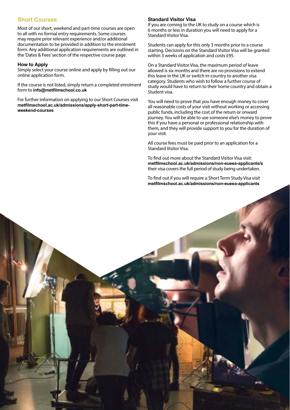# **Short Courses**

Most of our short, weekend and part-time courses are open to all with no formal entry requirements. Some courses may require prior relevant experience and/or additional documentation to be provided in addition to the enrolment form. Any additional application requirements are outlined in the 'Dates & Fees' section of the respective course page.

#### **How to Apply**

Simply select your course online and apply by filling out our online application form.

If the course is not listed, simply return a completed enrolment form to **info@metfilmschool.co.uk**

For further information on applying to our Short Courses visit **metfilmschool.ac.uk/admissions/apply-short-part-timeweekend-courses**

## **Standard Visitor Visa**

If you are coming to the UK to study on a course which is 6 months or less in duration you will need to apply for a Standard Visitor Visa.

Students can apply for this only 3 months prior to a course starting. Decisions on the Standard Visitor Visa will be granted within 3 weeks of application and costs £95.

On a Standard Visitor Visa, the maximum period of leave allowed is six months and there are no provisions to extend this leave in the UK or switch in-country to another visa category. Students who wish to follow a further course of study would have to return to their home country and obtain a Student visa.

You will need to prove that you have enough money to cover all reasonable costs of your visit without working or accessing public funds, including the cost of the return or onward journey. You will be able to use someone else's money to prove this if you have a personal or professional relationship with them, and they will provide support to you for the duration of your visit.

All course fees must be paid prior to an application for a Standard Visitor Visa.

To find out more about the Standard Visitor Visa visit: **metfilmschool.ac.uk/admissions/non-eueea-applicants/s** their visa covers the full period of study being undertaken.

To find out if you will require a Short Term Study Visa visit **[metfilmschool.ac.uk/admissions/non-eueea-applicants](http://metfilmschool.ac.uk/admissions/non-eueea-applicants )**

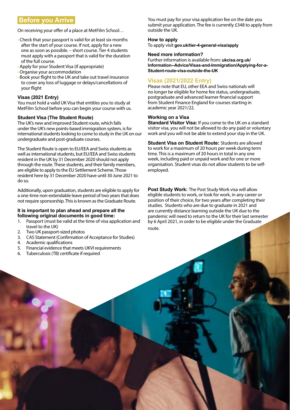# **Before you Arrive**

On receiving your offer of a place at MetFilm School…

- Check that your passport is valid for at least six months after the start of your course. If not, apply for a new one as soon as possible. – short course. Tier 4 students must apply with a passport that is valid for the duration of the full course.
- Apply for your Student Visa (if appropriate)
- Organise your accommodation
- Book your flight to the UK and take out travel insurance to cover any loss of luggage or delays/cancellations of your flight

## **Visas (2021 Entry)**

You must hold a valid UK Visa that entitles you to study at MetFilm School before you can begin your course with us.

#### **Student Visa (The Student Route)**

The UK's new and improved Student route, which falls under the UK's new points-based immigration system, is for international students looking to come to study in the UK on our undergraduate and post-graduate courses.

The Student Route is open to EU/EEA and Swiss students as well as international students, but EU/EEA and Swiss students resident in the UK by 31 December 2020 should not apply through the route. These students, and their family members, are eligible to apply to the EU Settlement Scheme. Those resident here by 31 December 2020 have until 30 June 2021 to do so.

Additionally, upon graduation, students are eligible to apply for a one-time non-extendable leave period of two years that does not require sponsorship. This is known as the Graduate Route[.](http:// gov.uk/check-uk-visa  )

#### **It is important to plan ahead and prepare all the following original documents in good time:**

- 1. Passport (must be valid at the time of visa application and travel to the UK)
- 2. Two UK passport-sized photos
- 3. CAS Statement (Confirmation of Acceptance for Studies)
- 4. Academic qualifications
- 5. Financial evidence that meets UKVI requirements
- 6. Tuberculosis (TB) certificate if required

You must pay for your visa application fee on the date you submit your application. The fee is currently £348 to apply from outside the UK.

## **How to apply**

To apply visit **[gov.uk/tier-4-general-visa/apply](http://gov.uk/tier-4-general-visa/apply)** 

#### **Need more information?**

Further information is available from: **ukcisa.org.uk/ Information--Advice/Visas-and-Im[m](http://ukcisa.org.uk/Information--Advice/Visas-and-Immigration/Making-a-Tier-4-General-application-outside-the-UK#RL] )igration/Applying-for-a-Student-route-visa-outside-the-UK**

# **Visas (2021/2022 Entry)**

Please note that EU, other EEA and Swiss nationals will no longer be eligible for home fee status, undergraduate, postgraduate and advanced learner financial support from Student Finance England for courses starting in academic year 2021/22.

## **Working on a Visa**

**Standard Visitor Visa:** If you come to the UK on a standard visitor visa, you will not be allowed to do any paid or voluntary work and you will not be able to extend your stay in the UK.

**Student Visa on Student Route:** Students are allowed to work for a maximum of 20 hours per week during term time. This is a maximum of 20 hours in total in any one week, including paid or unpaid work and for one or more organisation. Student visas do not allow students to be selfemployed.

**Post Study Work:** The Post Study Work visa will allow eligible students to work, or look for work, in any career or position of their choice, for two years after completing their studies. Students who are due to graduate in 2021 and are currently distance learning outside the UK due to the pandemic will need to return to the UK for their last semester by 6 April 2021, in order to be eligible under the Graduate route.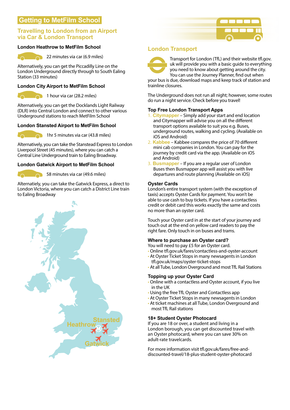# **Getting to MetFilm School**

# **Travelling to London from an Airport via Car & London Transport**

## **London Heathrow to MetFilm School**



22 minutes via car (6.9 miles)

Alternatively, you can get the Piccadilly Line on the London Underground directly through to South Ealing Station (33 minutes)

## **London City Airport to MetFilm School**



1 hour via car (28.2 miles)

Alternatively, you can get the Docklands Light Railway (DLR) into Central London and connect to other various Underground stations to reach MetFilm School

# **London Stansted Airport to MetFilm School**



1hr 5 minutes via car (43.8 miles)

Alternatively, you can take the Stanstead Express to London Liverpool Street (45 minutes), where you can catch a Central Line Underground train to Ealing Broadway.

## **London Gatwick Airport to MetFilm School**

58 minutes via car (49.6 miles)

Alternatiely, you can take the Gatwick Express, a direct to London Victoria, where you can catch a District Line train to Ealing Broadway



# **London Transport**



Transport for London (TfL) and their website tfl.gov. uk will provide you with a basic guide to everything you need to know about getting around the city. You can use the Journey Planner, find out when

your bus is due, download maps and keep track of station and trainline closures.

The Underground does not run all night; however, some routes do run a night service. Check before you travel!

## **Top Free London Transport Apps**

- 1. **Citymapper** Simply add your start and end location and Citymapper will advise you on all the different transport options available to suit you e.g. Buses, underground routes, walking and cycling. (Available on iOS and Android)
- 2. **Kabbee** Kabbee compares the price of 70 different mini cab companies in London. You can pay for the journey by credit card via the app. (Available on iOS and Android)
- **Busmapper** If you are a regular user of London Buses then Busmapper app will assist you with live departures and route planning (Available on iOS)

## **Oyster Cards**

London's entire transport system (with the exception of taxis) accepts Oyster Cards for payment. You won't be able to use cash to buy tickets. If you have a contactless credit or debit card this works exactly the same and costs no more than an oyster card.

Touch your Oyster card in at the start of your journey and touch out at the end on yellow card readers to pay the right fare. Only touch in on buses and trams.

## **Where to purchase an Oyster card?**

- You will need to pay £5 for an Oyster card.
- Online [tfl.gov.uk/fares/contactless-and-oyster-account](http://tfl.gov.uk/fares/contactless-and-oyster-account  )
- At Oyster Ticket Stops in many newsagents in London [tfl.gov.uk/maps/oyster-ticket-stops](http://tfl.gov.uk/maps/oyster-ticket-stops)
- At all Tube, London Overground and most TfL Rail Stations

## **Topping up your Oyster Card**

- Online with a contactless and Oyster account, if you live in the UK
- Using the free TfL Oyster and Contactless app
- At Oyster Ticket Stops in many newsagents in London
- At ticket machines at all Tube, London Overground and most TfL Rail stations

## **18+ Student Oyster Photocard**

If you are 18 or over, a student and living in a London borough, you can get discounted travel with an Oyster photocard, where you can save 30% on adult-rate travelcards.

For more information visit [tfl.gov.uk/fares/free-and](http://tfl.gov.uk/fares/free-and-discounted-travel/18-plus-student-oyster-photocard)[discounted-travel/18-plus-student-oyster-photocard](http://tfl.gov.uk/fares/free-and-discounted-travel/18-plus-student-oyster-photocard)

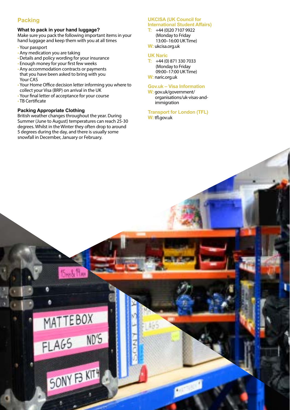# **Packing**

# **What to pack in your hand luggage?**

Make sure you pack the following important items in your hand luggage and keep them with you at all times

- Your passport
- Any medication you are taking
- Details and policy wording for your insurance
- Enough money for your first few weeks
- Any accommodation contracts or payments that you have been asked to bring with you Your CAS
- Your Home Office decision letter informing you where to collect your Visa (BRP) on arrival in the UK
- Your final letter of acceptance for your course
- TB Certificate

## **Packing Appropriate Clothing**

British weather changes throughout the year. During Summer (June to August) temperatures can reach 25-30 degrees. Whilst in the Winter they often drop to around 5 degrees during the day, and there is usually some snowfall in December, January or February.

#### **UKCISA (UK Council for International Student Affairs)**

**T:** +44 (0)20 7107 9922 (Monday to Friday 13:00–16:00 UK Time)

# **W:** ukcisa.org.uk

## **UK Naric**

**T:** +44 (0) 871 330 7033 (Monday to Friday 09:00–17:00 UK Time) **W:** naric.org.uk

# **Gov.uk – Visa Information**

**W:** gov.uk/government/ organisations/uk-visas-andimmigration

#### **Transport for London (TFL) W:** tfl.gov.uk